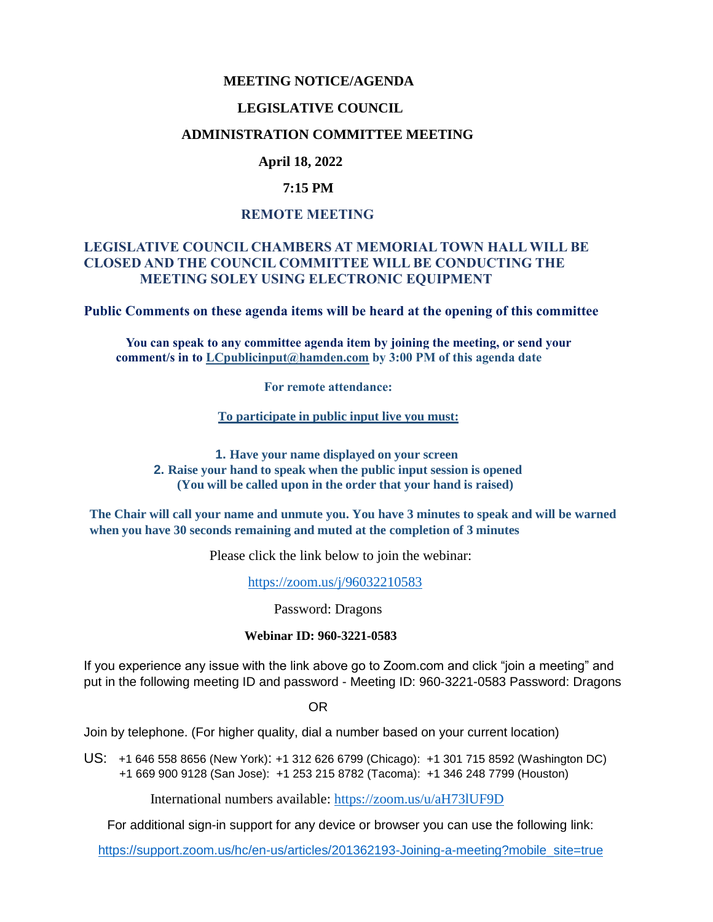#### **MEETING NOTICE/AGENDA**

#### **LEGISLATIVE COUNCIL**

#### **ADMINISTRATION COMMITTEE MEETING**

## **April 18, 2022**

### **7:15 PM**

#### **REMOTE MEETING**

### **LEGISLATIVE COUNCIL CHAMBERS AT MEMORIAL TOWN HALL WILL BE CLOSED AND THE COUNCIL COMMITTEE WILL BE CONDUCTING THE MEETING SOLEY USING ELECTRONIC EQUIPMENT**

**Public Comments on these agenda items will be heard at the opening of this committee** 

 **You can speak to any committee agenda item by joining the meeting, or send your comment/s in to [LCpublicinput@hamden.com](mailto:LCpublicinput@hamden.com) by 3:00 PM of this agenda date**

 **For remote attendance:**

**To participate in public input live you must:**

**1. Have your name displayed on your screen 2. Raise your hand to speak when the public input session is opened (You will be called upon in the order that your hand is raised)**

**The Chair will call your name and unmute you. You have 3 minutes to speak and will be warned when you have 30 seconds remaining and muted at the completion of 3 minutes**

Please click the link below to join the webinar:

<https://zoom.us/j/96032210583>

Password: Dragons

#### **Webinar ID: 960-3221-0583**

If you experience any issue with the link above go to Zoom.com and click "join a meeting" and put in the following meeting ID and password - Meeting ID: 960-3221-0583 Password: Dragons

OR

Join by telephone. (For higher quality, dial a number based on your current location)

US: [+1 646 558 8656 \(New York\)](tel:+16465588656): [+1 312 626 6799 \(Chicago\):](tel:+13126266799) [+1 301 715 8592 \(Washington DC\)](tel:+13017158592) +1 669 900 9128 (San Jose): [+1 253 215 8782 \(Tacoma\):](tel:+12532158782) [+1 346 248 7799 \(Houston\)](tel:+13462487799)

International numbers available:<https://zoom.us/u/aH73lUF9D>

For additional sign-in support for any device or browser you can use the following link:

[https://support.zoom.us/hc/en-us/articles/201362193-Joining-a-meeting?mobile\\_site=true](https://support.zoom.us/hc/en-us/articles/201362193-Joining-a-meeting?mobile_site=true)